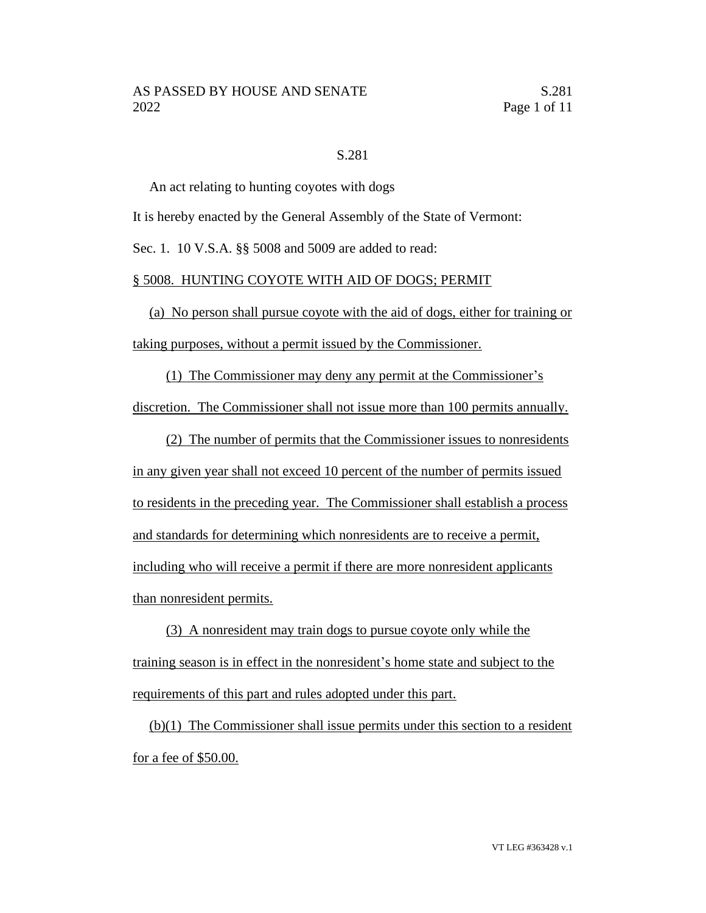# S.281

An act relating to hunting coyotes with dogs

It is hereby enacted by the General Assembly of the State of Vermont:

Sec. 1. 10 V.S.A. §§ 5008 and 5009 are added to read:

#### § 5008. HUNTING COYOTE WITH AID OF DOGS; PERMIT

(a) No person shall pursue coyote with the aid of dogs, either for training or taking purposes, without a permit issued by the Commissioner.

(1) The Commissioner may deny any permit at the Commissioner's

discretion. The Commissioner shall not issue more than 100 permits annually.

(2) The number of permits that the Commissioner issues to nonresidents in any given year shall not exceed 10 percent of the number of permits issued to residents in the preceding year. The Commissioner shall establish a process and standards for determining which nonresidents are to receive a permit, including who will receive a permit if there are more nonresident applicants than nonresident permits.

(3) A nonresident may train dogs to pursue coyote only while the training season is in effect in the nonresident's home state and subject to the requirements of this part and rules adopted under this part.

(b)(1) The Commissioner shall issue permits under this section to a resident for a fee of \$50.00.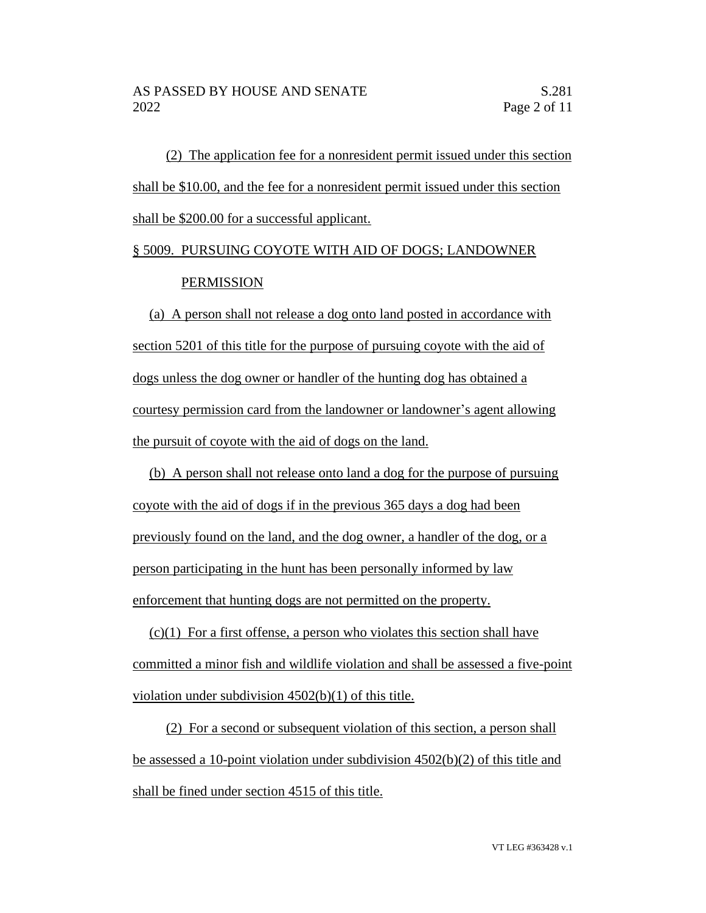(2) The application fee for a nonresident permit issued under this section shall be \$10.00, and the fee for a nonresident permit issued under this section shall be \$200.00 for a successful applicant.

# § 5009. PURSUING COYOTE WITH AID OF DOGS; LANDOWNER PERMISSION

(a) A person shall not release a dog onto land posted in accordance with section 5201 of this title for the purpose of pursuing coyote with the aid of dogs unless the dog owner or handler of the hunting dog has obtained a courtesy permission card from the landowner or landowner's agent allowing the pursuit of coyote with the aid of dogs on the land.

(b) A person shall not release onto land a dog for the purpose of pursuing coyote with the aid of dogs if in the previous 365 days a dog had been previously found on the land, and the dog owner, a handler of the dog, or a person participating in the hunt has been personally informed by law enforcement that hunting dogs are not permitted on the property.

 $(c)(1)$  For a first offense, a person who violates this section shall have committed a minor fish and wildlife violation and shall be assessed a five-point violation under subdivision 4502(b)(1) of this title.

(2) For a second or subsequent violation of this section, a person shall be assessed a 10-point violation under subdivision 4502(b)(2) of this title and shall be fined under section 4515 of this title.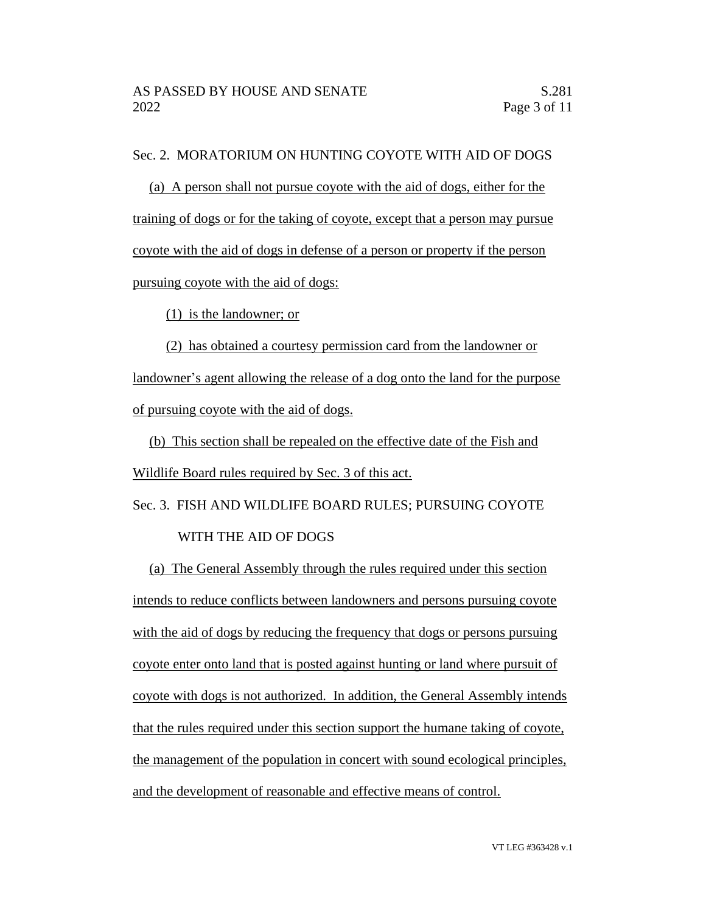# Sec. 2. MORATORIUM ON HUNTING COYOTE WITH AID OF DOGS

(a) A person shall not pursue coyote with the aid of dogs, either for the training of dogs or for the taking of coyote, except that a person may pursue coyote with the aid of dogs in defense of a person or property if the person pursuing coyote with the aid of dogs:

(1) is the landowner; or

(2) has obtained a courtesy permission card from the landowner or landowner's agent allowing the release of a dog onto the land for the purpose of pursuing coyote with the aid of dogs.

(b) This section shall be repealed on the effective date of the Fish and Wildlife Board rules required by Sec. 3 of this act.

Sec. 3. FISH AND WILDLIFE BOARD RULES; PURSUING COYOTE WITH THE AID OF DOGS

(a) The General Assembly through the rules required under this section intends to reduce conflicts between landowners and persons pursuing coyote with the aid of dogs by reducing the frequency that dogs or persons pursuing coyote enter onto land that is posted against hunting or land where pursuit of coyote with dogs is not authorized. In addition, the General Assembly intends that the rules required under this section support the humane taking of coyote, the management of the population in concert with sound ecological principles, and the development of reasonable and effective means of control.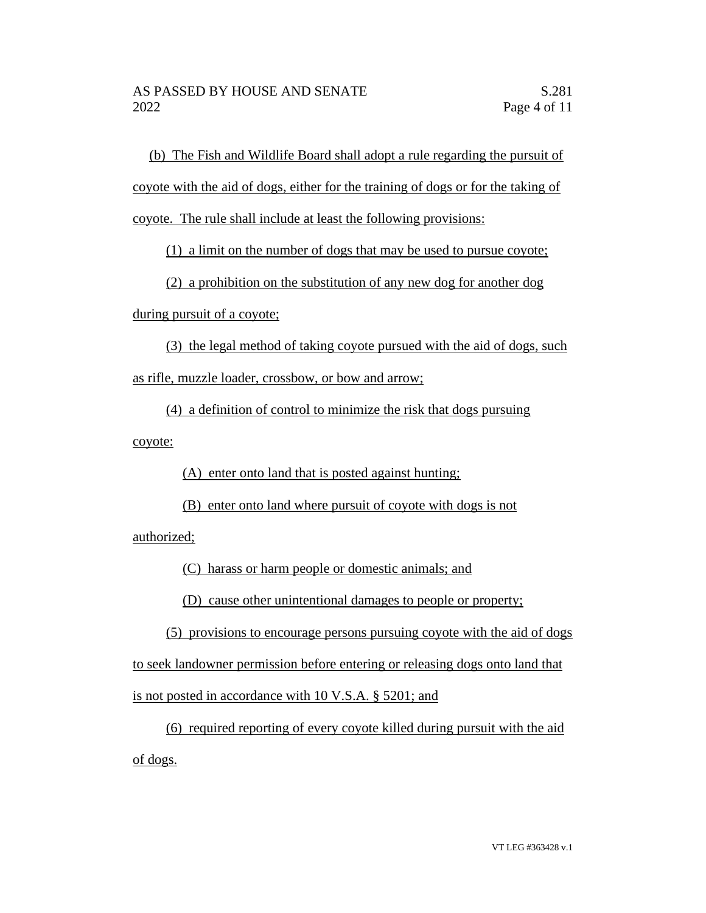(b) The Fish and Wildlife Board shall adopt a rule regarding the pursuit of coyote with the aid of dogs, either for the training of dogs or for the taking of coyote. The rule shall include at least the following provisions:

(1) a limit on the number of dogs that may be used to pursue coyote;

(2) a prohibition on the substitution of any new dog for another dog

during pursuit of a coyote;

(3) the legal method of taking coyote pursued with the aid of dogs, such as rifle, muzzle loader, crossbow, or bow and arrow;

(4) a definition of control to minimize the risk that dogs pursuing coyote:

(A) enter onto land that is posted against hunting;

(B) enter onto land where pursuit of coyote with dogs is not

authorized;

(C) harass or harm people or domestic animals; and

(D) cause other unintentional damages to people or property;

(5) provisions to encourage persons pursuing coyote with the aid of dogs to seek landowner permission before entering or releasing dogs onto land that is not posted in accordance with 10 V.S.A. § 5201; and

(6) required reporting of every coyote killed during pursuit with the aid of dogs.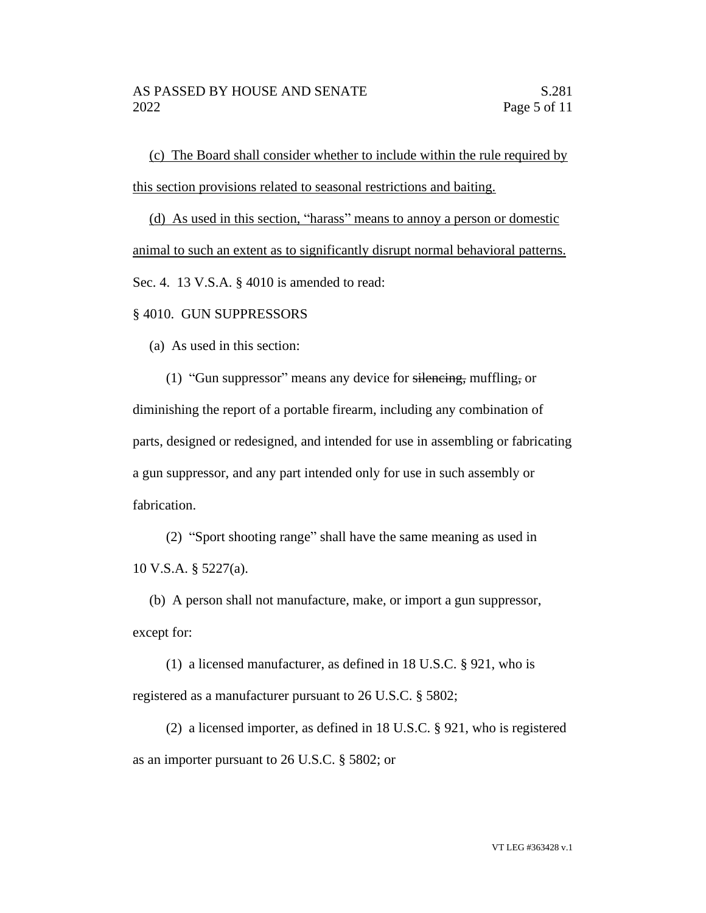(c) The Board shall consider whether to include within the rule required by this section provisions related to seasonal restrictions and baiting.

(d) As used in this section, "harass" means to annoy a person or domestic animal to such an extent as to significantly disrupt normal behavioral patterns. Sec. 4. 13 V.S.A. § 4010 is amended to read:

# § 4010. GUN SUPPRESSORS

(a) As used in this section:

(1) "Gun suppressor" means any device for silencing, muffling, or diminishing the report of a portable firearm, including any combination of parts, designed or redesigned, and intended for use in assembling or fabricating a gun suppressor, and any part intended only for use in such assembly or fabrication.

(2) "Sport shooting range" shall have the same meaning as used in 10 V.S.A. § 5227(a).

(b) A person shall not manufacture, make, or import a gun suppressor, except for:

(1) a licensed manufacturer, as defined in 18 U.S.C. § 921, who is registered as a manufacturer pursuant to 26 U.S.C. § 5802;

(2) a licensed importer, as defined in 18 U.S.C. § 921, who is registered as an importer pursuant to 26 U.S.C. § 5802; or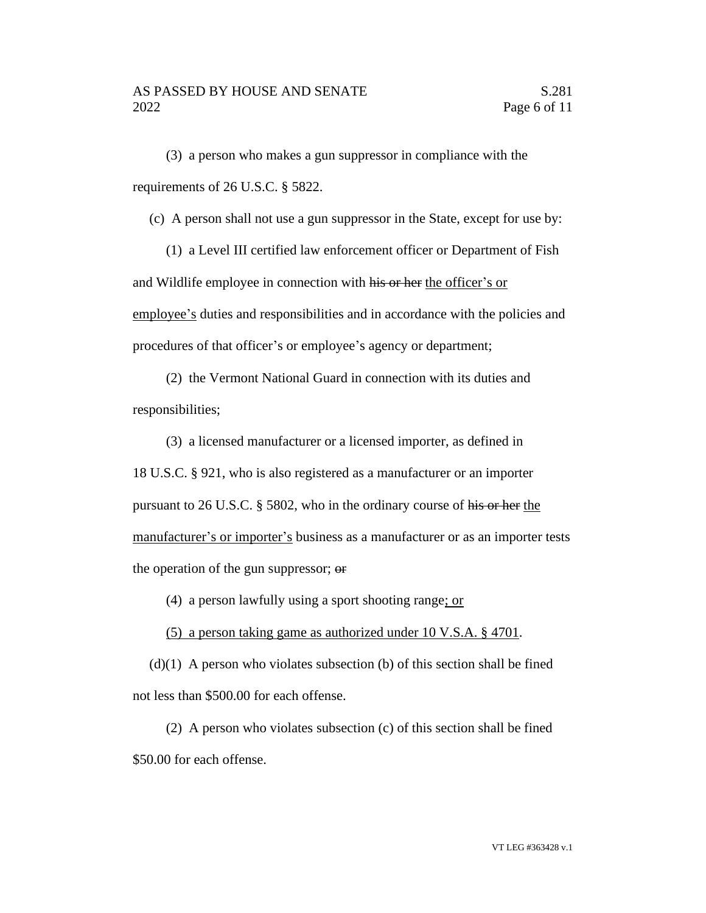(3) a person who makes a gun suppressor in compliance with the requirements of 26 U.S.C. § 5822.

(c) A person shall not use a gun suppressor in the State, except for use by:

(1) a Level III certified law enforcement officer or Department of Fish and Wildlife employee in connection with his or her the officer's or employee's duties and responsibilities and in accordance with the policies and procedures of that officer's or employee's agency or department;

(2) the Vermont National Guard in connection with its duties and responsibilities;

(3) a licensed manufacturer or a licensed importer, as defined in 18 U.S.C. § 921, who is also registered as a manufacturer or an importer pursuant to 26 U.S.C. § 5802, who in the ordinary course of his or her the manufacturer's or importer's business as a manufacturer or as an importer tests the operation of the gun suppressor; or

(4) a person lawfully using a sport shooting range; or

(5) a person taking game as authorized under 10 V.S.A. § 4701.

 $(d)(1)$  A person who violates subsection (b) of this section shall be fined not less than \$500.00 for each offense.

(2) A person who violates subsection (c) of this section shall be fined \$50.00 for each offense.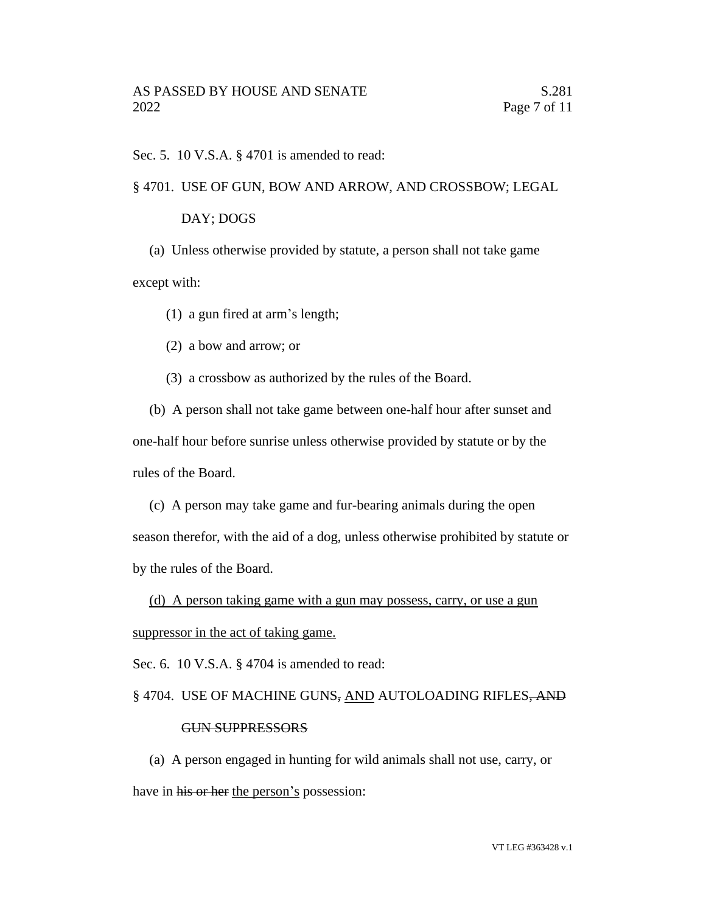Sec. 5. 10 V.S.A. § 4701 is amended to read:

# § 4701. USE OF GUN, BOW AND ARROW, AND CROSSBOW; LEGAL

#### DAY; DOGS

(a) Unless otherwise provided by statute, a person shall not take game except with:

(1) a gun fired at arm's length;

(2) a bow and arrow; or

(3) a crossbow as authorized by the rules of the Board.

(b) A person shall not take game between one-half hour after sunset and one-half hour before sunrise unless otherwise provided by statute or by the rules of the Board.

(c) A person may take game and fur-bearing animals during the open season therefor, with the aid of a dog, unless otherwise prohibited by statute or by the rules of the Board.

(d) A person taking game with a gun may possess, carry, or use a gun suppressor in the act of taking game.

Sec. 6. 10 V.S.A. § 4704 is amended to read:

#### § 4704. USE OF MACHINE GUNS, AND AUTOLOADING RIFLES, AND

### GUN SUPPRESSORS

(a) A person engaged in hunting for wild animals shall not use, carry, or have in his or her the person's possession: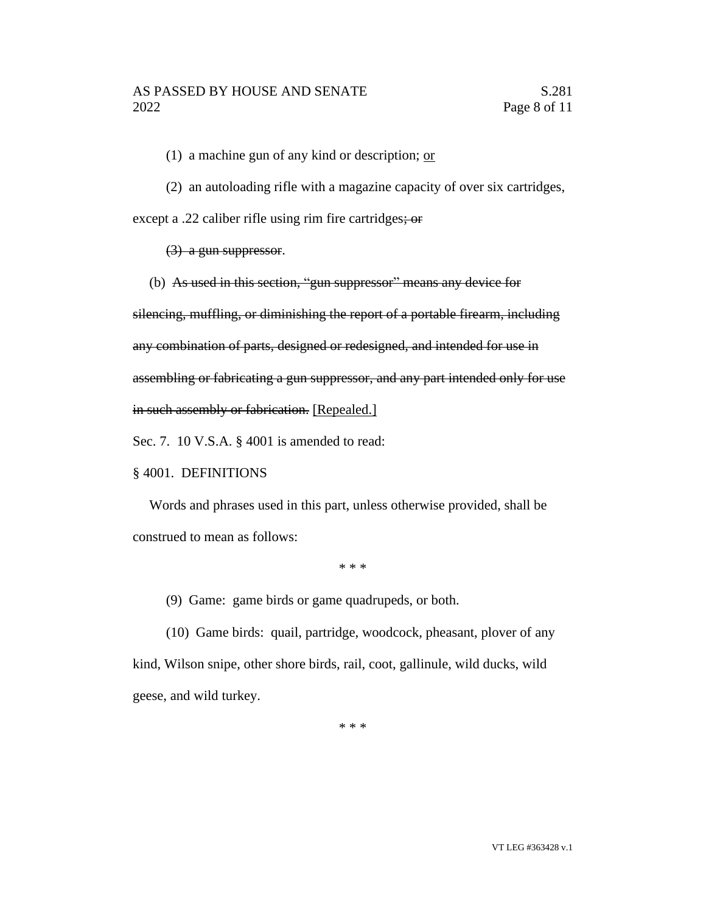(1) a machine gun of any kind or description;  $or$ 

(2) an autoloading rifle with a magazine capacity of over six cartridges,

except a .22 caliber rifle using rim fire cartridges; or

(3) a gun suppressor.

(b) As used in this section, "gun suppressor" means any device for

silencing, muffling, or diminishing the report of a portable firearm, including

any combination of parts, designed or redesigned, and intended for use in

assembling or fabricating a gun suppressor, and any part intended only for use

in such assembly or fabrication. [Repealed.]

Sec. 7. 10 V.S.A. § 4001 is amended to read:

# § 4001. DEFINITIONS

Words and phrases used in this part, unless otherwise provided, shall be construed to mean as follows:

\* \* \*

(9) Game: game birds or game quadrupeds, or both.

(10) Game birds: quail, partridge, woodcock, pheasant, plover of any kind, Wilson snipe, other shore birds, rail, coot, gallinule, wild ducks, wild geese, and wild turkey.

\* \* \*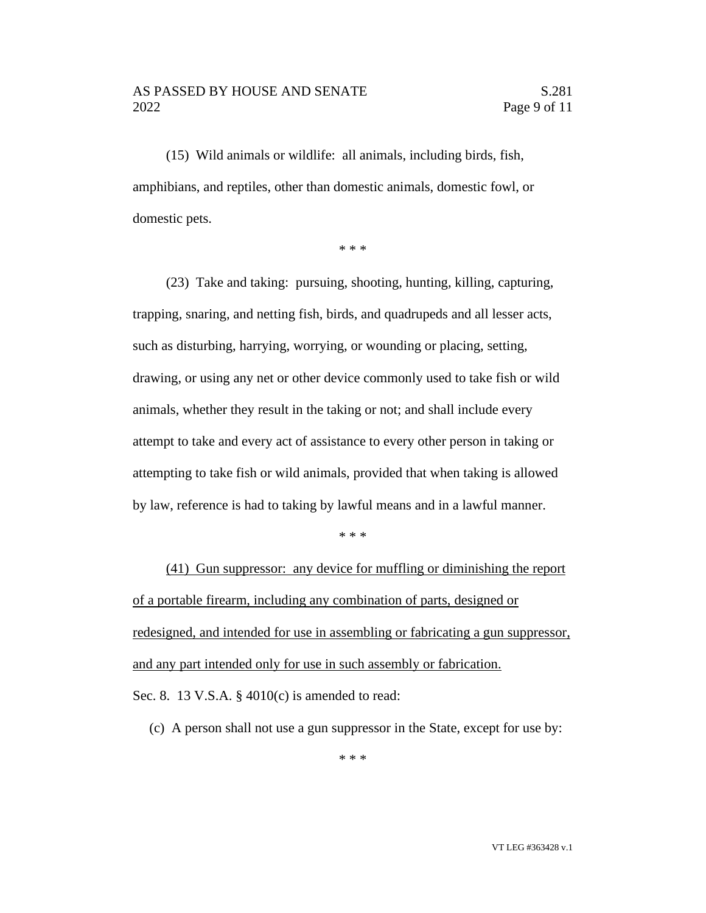# AS PASSED BY HOUSE AND SENATE S.281 2022 Page 9 of 11

(15) Wild animals or wildlife: all animals, including birds, fish, amphibians, and reptiles, other than domestic animals, domestic fowl, or domestic pets.

\* \* \*

(23) Take and taking: pursuing, shooting, hunting, killing, capturing, trapping, snaring, and netting fish, birds, and quadrupeds and all lesser acts, such as disturbing, harrying, worrying, or wounding or placing, setting, drawing, or using any net or other device commonly used to take fish or wild animals, whether they result in the taking or not; and shall include every attempt to take and every act of assistance to every other person in taking or attempting to take fish or wild animals, provided that when taking is allowed by law, reference is had to taking by lawful means and in a lawful manner.

\* \* \*

(41) Gun suppressor: any device for muffling or diminishing the report of a portable firearm, including any combination of parts, designed or redesigned, and intended for use in assembling or fabricating a gun suppressor, and any part intended only for use in such assembly or fabrication.

Sec. 8. 13 V.S.A. § 4010(c) is amended to read:

(c) A person shall not use a gun suppressor in the State, except for use by: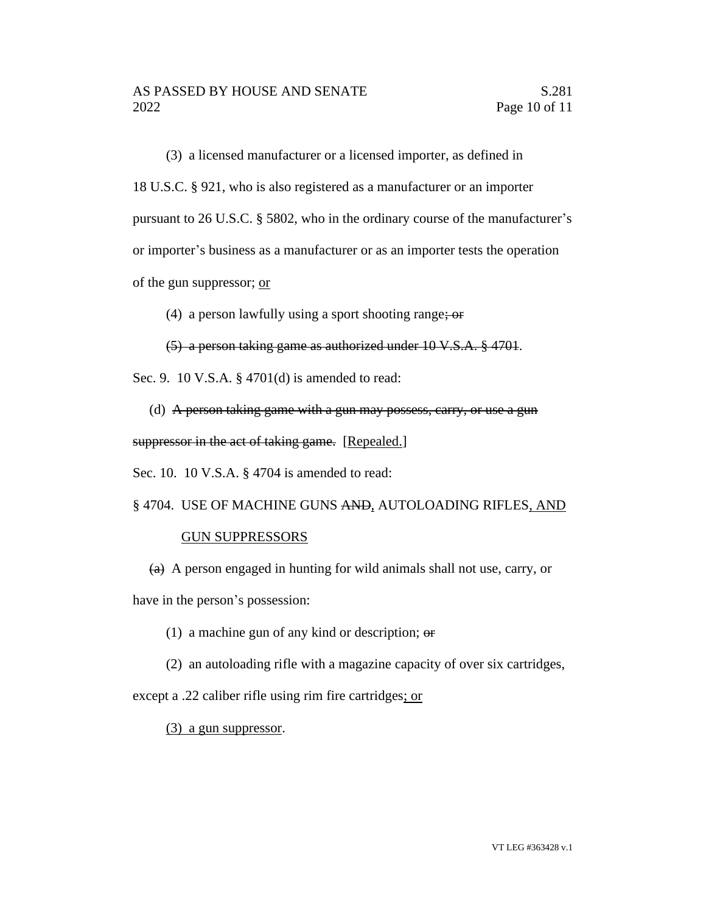(3) a licensed manufacturer or a licensed importer, as defined in 18 U.S.C. § 921, who is also registered as a manufacturer or an importer pursuant to 26 U.S.C. § 5802, who in the ordinary course of the manufacturer's or importer's business as a manufacturer or as an importer tests the operation of the gun suppressor; or

(4) a person lawfully using a sport shooting range;  $\omega$ 

(5) a person taking game as authorized under 10 V.S.A. § 4701.

Sec. 9. 10 V.S.A. § 4701(d) is amended to read:

(d) A person taking game with a gun may possess, carry, or use a gun suppressor in the act of taking game. [Repealed.]

Sec. 10. 10 V.S.A. § 4704 is amended to read:

§ 4704. USE OF MACHINE GUNS AND, AUTOLOADING RIFLES, AND

# GUN SUPPRESSORS

 $(a)$  A person engaged in hunting for wild animals shall not use, carry, or have in the person's possession:

(1) a machine gun of any kind or description;  $\Theta$ 

(2) an autoloading rifle with a magazine capacity of over six cartridges,

except a .22 caliber rifle using rim fire cartridges; or

(3) a gun suppressor.